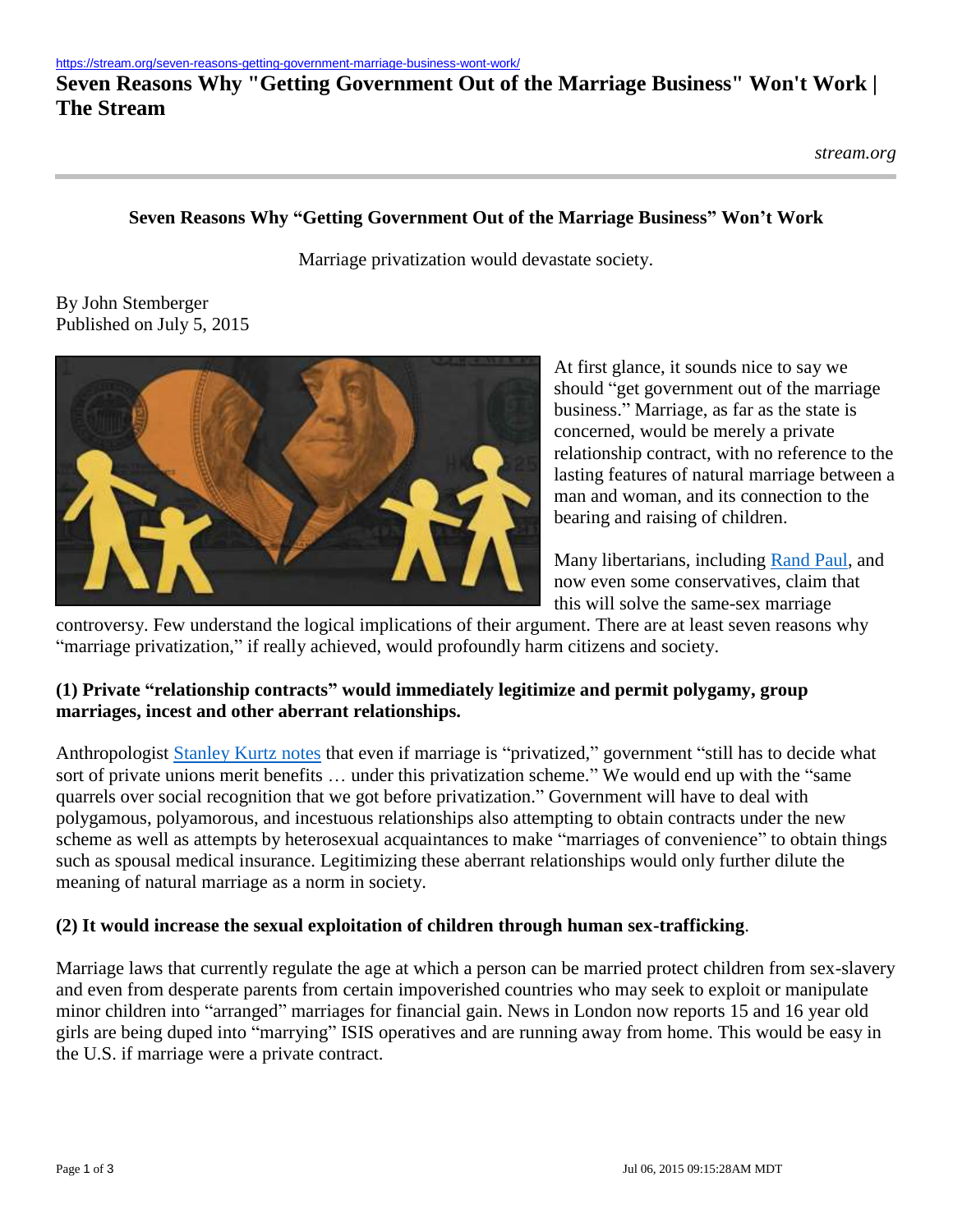# **Seven Reasons Why "Getting Government Out of the Marriage Business" Won't Work | The Stream**

#### **Seven Reasons Why "Getting Government Out of the Marriage Business" Won't Work**

Marriage privatization would devastate society.

By John Stemberger Published on July 5, 2015



At first glance, it sounds nice to say we should "get government out of the marriage business." Marriage, as far as the state is concerned, would be merely a private relationship contract, with no reference to the lasting features of natural marriage between a man and woman, and its connection to the bearing and raising of children.

Many libertarians, including [Rand Paul,](http://time.com/3939374/rand-paul-gay-marriage-supreme-court/) and now even some conservatives, claim that this will solve the same-sex marriage

controversy. Few understand the logical implications of their argument. There are at least seven reasons why "marriage privatization," if really achieved, would profoundly harm citizens and society.

#### **(1) Private "relationship contracts" would immediately legitimize and permit polygamy, group marriages, incest and other aberrant relationships.**

Anthropologist [Stanley Kurtz notes](http://www.nationalreview.com/corner/117239/privatizing-marriage-stanley-kurtz) that even if marriage is "privatized," government "still has to decide what sort of private unions merit benefits … under this privatization scheme." We would end up with the "same quarrels over social recognition that we got before privatization." Government will have to deal with polygamous, polyamorous, and incestuous relationships also attempting to obtain contracts under the new scheme as well as attempts by heterosexual acquaintances to make "marriages of convenience" to obtain things such as spousal medical insurance. Legitimizing these aberrant relationships would only further dilute the meaning of natural marriage as a norm in society.

#### **(2) It would increase the sexual exploitation of children through human sex-trafficking**.

Marriage laws that currently regulate the age at which a person can be married protect children from sex-slavery and even from desperate parents from certain impoverished countries who may seek to exploit or manipulate minor children into "arranged" marriages for financial gain. News in London now reports 15 and 16 year old girls are being duped into "marrying" ISIS operatives and are running away from home. This would be easy in the U.S. if marriage were a private contract.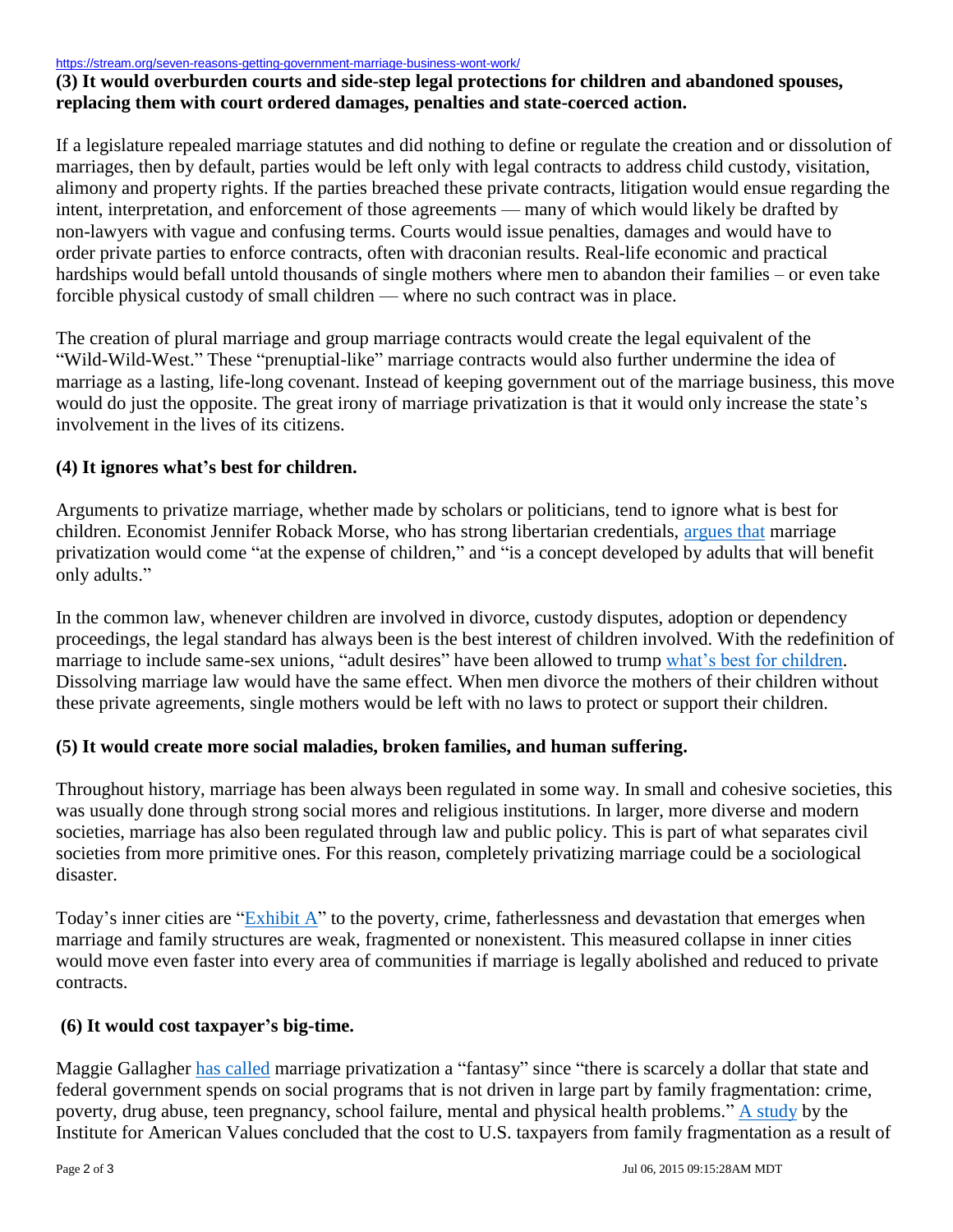<https://stream.org/seven-reasons-getting-government-marriage-business-wont-work/>

### **(3) It would overburden courts and side-step legal protections for children and abandoned spouses, replacing them with court ordered damages, penalties and state-coerced action.**

If a legislature repealed marriage statutes and did nothing to define or regulate the creation and or dissolution of marriages, then by default, parties would be left only with legal contracts to address child custody, visitation, alimony and property rights. If the parties breached these private contracts, litigation would ensue regarding the intent, interpretation, and enforcement of those agreements — many of which would likely be drafted by non-lawyers with vague and confusing terms. Courts would issue penalties, damages and would have to order private parties to enforce contracts, often with draconian results. Real-life economic and practical hardships would befall untold thousands of single mothers where men to abandon their families – or even take forcible physical custody of small children — where no such contract was in place.

The creation of plural marriage and group marriage contracts would create the legal equivalent of the "Wild-Wild-West." These "prenuptial-like" marriage contracts would also further undermine the idea of marriage as a lasting, life-long covenant. Instead of keeping government out of the marriage business, this move would do just the opposite. The great irony of marriage privatization is that it would only increase the state's involvement in the lives of its citizens.

# **(4) It ignores what's best for children.**

Arguments to privatize marriage, whether made by scholars or politicians, tend to ignore what is best for children. Economist Jennifer Roback Morse, who has strong libertarian credentials, [argues that](http://www.thepublicdiscourse.com/2012/04/5073) marriage privatization would come "at the expense of children," and "is a concept developed by adults that will benefit only adults."

In the common law, whenever children are involved in divorce, custody disputes, adoption or dependency proceedings, the legal standard has always been is the best interest of children involved. With the redefinition of marriage to include same-sex unions, "adult desires" have been allowed to trump [what's best for children.](http://cnsnews.com/news/article/abigail-wilkinson/american-college-pediatricians-gay-marriage-ruling-tragic-children) Dissolving marriage law would have the same effect. When men divorce the mothers of their children without these private agreements, single mothers would be left with no laws to protect or support their children.

# **(5) It would create more social maladies, broken families, and human suffering.**

Throughout history, marriage has been always been regulated in some way. In small and cohesive societies, this was usually done through strong social mores and religious institutions. In larger, more diverse and modern societies, marriage has also been regulated through law and public policy. This is part of what separates civil societies from more primitive ones. For this reason, completely privatizing marriage could be a sociological disaster.

Today's inner cities are " $\frac{Exhibit A''}{A''}$  to the poverty, crime, fatherlessness and devastation that emerges when marriage and family structures are weak, fragmented or nonexistent. This measured collapse in inner cities would move even faster into every area of communities if marriage is legally abolished and reduced to private contracts.

#### **(6) It would cost taxpayer's big-time.**

Maggie Gallagher [has called](http://www.nationalreview.com/article/207483/stakes-maggie-gallagher) marriage privatization a "fantasy" since "there is scarcely a dollar that state and federal government spends on social programs that is not driven in large part by family fragmentation: crime, poverty, drug abuse, teen pregnancy, school failure, mental and physical health problems." [A study](http://www.americanvalues.org/search/item.php?id=52) by the Institute for American Values concluded that the cost to U.S. taxpayers from family fragmentation as a result of